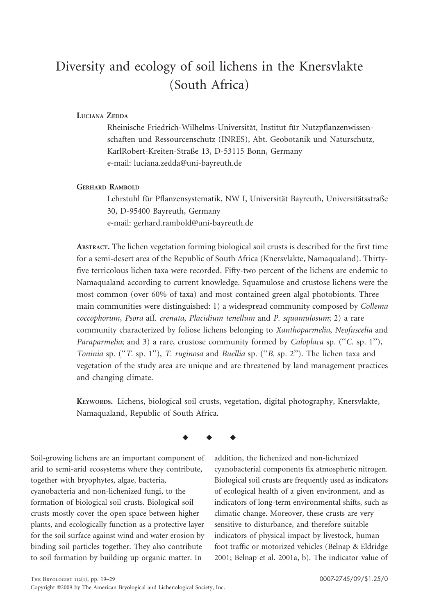# Diversity and ecology of soil lichens in the Knersvlakte (South Africa)

# LUCIANA ZEDDA

Rheinische Friedrich-Wilhelms-Universität, Institut für Nutzpflanzenwissenschaften und Ressourcenschutz (INRES), Abt. Geobotanik und Naturschutz, KarlRobert-Kreiten-Straße 13, D-53115 Bonn, Germany e-mail: luciana.zedda@uni-bayreuth.de

# GERHARD RAMBOLD

Lehrstuhl für Pflanzensystematik, NW I, Universität Bayreuth, Universitätsstraße 30, D-95400 Bayreuth, Germany e-mail: gerhard.rambold@uni-bayreuth.de

ABSTRACT. The lichen vegetation forming biological soil crusts is described for the first time for a semi-desert area of the Republic of South Africa (Knersvlakte, Namaqualand). Thirtyfive terricolous lichen taxa were recorded. Fifty-two percent of the lichens are endemic to Namaqualand according to current knowledge. Squamulose and crustose lichens were the most common (over 60% of taxa) and most contained green algal photobionts. Three main communities were distinguished: 1) a widespread community composed by Collema coccophorum, Psora aff. crenata, Placidium tenellum and P. squamulosum; 2) a rare community characterized by foliose lichens belonging to Xanthoparmelia, Neofuscelia and Paraparmelia; and 3) a rare, crustose community formed by *Caloplaca* sp. ("C. sp. 1"), Toninia sp. (''T. sp. 1''), T. ruginosa and Buellia sp. (''B. sp. 2''). The lichen taxa and vegetation of the study area are unique and are threatened by land management practices and changing climate.

KEYWORDS. Lichens, biological soil crusts, vegetation, digital photography, Knersvlakte, Namaqualand, Republic of South Africa.

Soil-growing lichens are an important component of arid to semi-arid ecosystems where they contribute, together with bryophytes, algae, bacteria, cyanobacteria and non-lichenized fungi, to the formation of biological soil crusts. Biological soil crusts mostly cover the open space between higher plants, and ecologically function as a protective layer for the soil surface against wind and water erosion by binding soil particles together. They also contribute to soil formation by building up organic matter. In

# ¤¤¤

addition, the lichenized and non-lichenized cyanobacterial components fix atmospheric nitrogen. Biological soil crusts are frequently used as indicators of ecological health of a given environment, and as indicators of long-term environmental shifts, such as climatic change. Moreover, these crusts are very sensitive to disturbance, and therefore suitable indicators of physical impact by livestock, human foot traffic or motorized vehicles (Belnap & Eldridge 2001; Belnap et al. 2001a, b). The indicator value of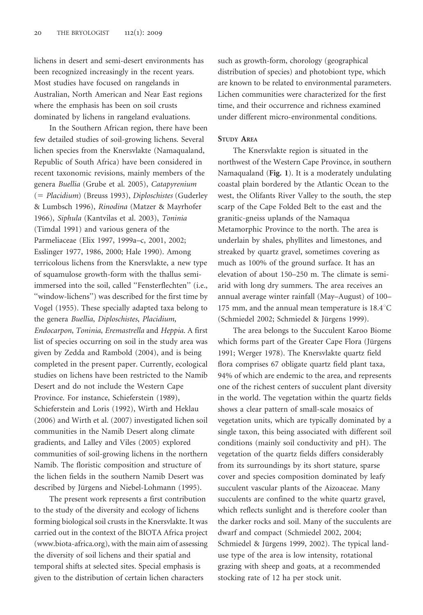lichens in desert and semi-desert environments has been recognized increasingly in the recent years. Most studies have focused on rangelands in Australian, North American and Near East regions where the emphasis has been on soil crusts dominated by lichens in rangeland evaluations.

In the Southern African region, there have been few detailed studies of soil-growing lichens. Several lichen species from the Knersvlakte (Namaqualand, Republic of South Africa) have been considered in recent taxonomic revisions, mainly members of the genera Buellia (Grube et al. 2005), Catapyrenium (5 Placidium) (Breuss 1993), Diploschistes (Guderley & Lumbsch 1996), Rinodina (Matzer & Mayrhofer 1966), Siphula (Kantvilas et al. 2003), Toninia (Timdal 1991) and various genera of the Parmeliaceae (Elix 1997, 1999a–c, 2001, 2002; Esslinger 1977, 1986, 2000; Hale 1990). Among terricolous lichens from the Knersvlakte, a new type of squamulose growth-form with the thallus semiimmersed into the soil, called ''Fensterflechten'' (i.e., ''window-lichens'') was described for the first time by Vogel (1955). These specially adapted taxa belong to the genera Buellia, Diploschistes, Placidium, Endocarpon, Toninia, Eremastrella and Heppia. A first list of species occurring on soil in the study area was given by Zedda and Rambold (2004), and is being completed in the present paper. Currently, ecological studies on lichens have been restricted to the Namib Desert and do not include the Western Cape Province. For instance, Schieferstein (1989), Schieferstein and Loris (1992), Wirth and Heklau (2006) and Wirth et al. (2007) investigated lichen soil communities in the Namib Desert along climate gradients, and Lalley and Viles (2005) explored communities of soil-growing lichens in the northern Namib. The floristic composition and structure of the lichen fields in the southern Namib Desert was described by Jürgens and Niebel-Lohmann (1995).

The present work represents a first contribution to the study of the diversity and ecology of lichens forming biological soil crusts in the Knersvlakte. It was carried out in the context of the BIOTA Africa project (www.biota-africa.org), with the main aim of assessing the diversity of soil lichens and their spatial and temporal shifts at selected sites. Special emphasis is given to the distribution of certain lichen characters

such as growth-form, chorology (geographical distribution of species) and photobiont type, which are known to be related to environmental parameters. Lichen communities were characterized for the first time, and their occurrence and richness examined under different micro-environmental conditions.

#### STUDY AREA

The Knersvlakte region is situated in the northwest of the Western Cape Province, in southern Namaqualand (Fig. 1). It is a moderately undulating coastal plain bordered by the Atlantic Ocean to the west, the Olifants River Valley to the south, the step scarp of the Cape Folded Belt to the east and the granitic-gneiss uplands of the Namaqua Metamorphic Province to the north. The area is underlain by shales, phyllites and limestones, and streaked by quartz gravel, sometimes covering as much as 100% of the ground surface. It has an elevation of about 150–250 m. The climate is semiarid with long dry summers. The area receives an annual average winter rainfall (May–August) of 100– 175 mm, and the annual mean temperature is  $18.4^{\circ}$ C (Schmiedel 2002; Schmiedel & Jürgens 1999).

The area belongs to the Succulent Karoo Biome which forms part of the Greater Cape Flora (Jürgens 1991; Werger 1978). The Knersvlakte quartz field flora comprises 67 obligate quartz field plant taxa, 94% of which are endemic to the area, and represents one of the richest centers of succulent plant diversity in the world. The vegetation within the quartz fields shows a clear pattern of small-scale mosaics of vegetation units, which are typically dominated by a single taxon, this being associated with different soil conditions (mainly soil conductivity and pH). The vegetation of the quartz fields differs considerably from its surroundings by its short stature, sparse cover and species composition dominated by leafy succulent vascular plants of the Aizoaceae. Many succulents are confined to the white quartz gravel, which reflects sunlight and is therefore cooler than the darker rocks and soil. Many of the succulents are dwarf and compact (Schmiedel 2002, 2004; Schmiedel & Jürgens 1999, 2002). The typical landuse type of the area is low intensity, rotational grazing with sheep and goats, at a recommended stocking rate of 12 ha per stock unit.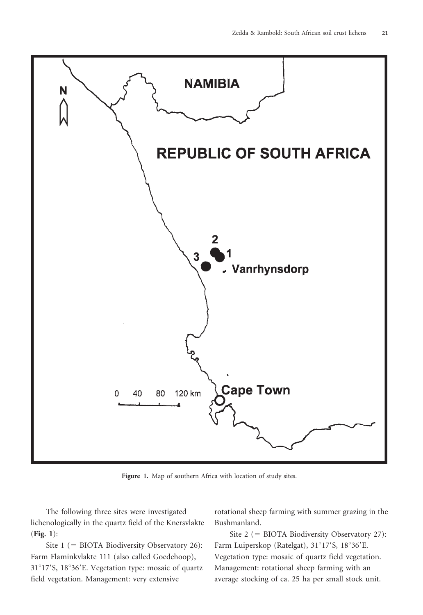

Figure 1. Map of southern Africa with location of study sites.

The following three sites were investigated lichenologically in the quartz field of the Knersvlakte (Fig. 1):

Site  $1$  (= BIOTA Biodiversity Observatory 26): Farm Flaminkvlakte 111 (also called Goedehoop), 31°17'S, 18°36'E. Vegetation type: mosaic of quartz field vegetation. Management: very extensive

rotational sheep farming with summer grazing in the Bushmanland.

Site  $2$  (= BIOTA Biodiversity Observatory 27): Farm Luiperskop (Ratelgat), 31°17'S, 18°36'E. Vegetation type: mosaic of quartz field vegetation. Management: rotational sheep farming with an average stocking of ca. 25 ha per small stock unit.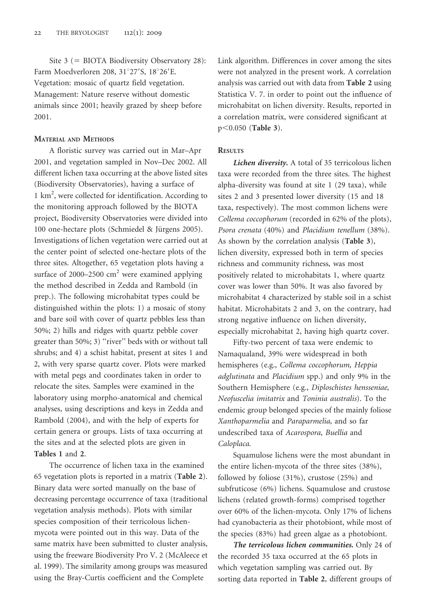Site  $3$  (= BIOTA Biodiversity Observatory 28): Farm Moedverloren 208,  $31^{\circ}27'$ S,  $18^{\circ}26'E$ . Vegetation: mosaic of quartz field vegetation. Management: Nature reserve without domestic animals since 2001; heavily grazed by sheep before 2001.

#### MATERIAL AND METHODS

A floristic survey was carried out in Mar–Apr 2001, and vegetation sampled in Nov–Dec 2002. All different lichen taxa occurring at the above listed sites (Biodiversity Observatories), having a surface of 1 km<sup>2</sup>, were collected for identification. According to the monitoring approach followed by the BIOTA project, Biodiversity Observatories were divided into 100 one-hectare plots (Schmiedel & Jürgens 2005). Investigations of lichen vegetation were carried out at the center point of selected one-hectare plots of the three sites. Altogether, 65 vegetation plots having a surface of 2000–2500  $\text{cm}^2$  were examined applying the method described in Zedda and Rambold (in prep.). The following microhabitat types could be distinguished within the plots: 1) a mosaic of stony and bare soil with cover of quartz pebbles less than 50%; 2) hills and ridges with quartz pebble cover greater than 50%; 3) ''river'' beds with or without tall shrubs; and 4) a schist habitat, present at sites 1 and 2, with very sparse quartz cover. Plots were marked with metal pegs and coordinates taken in order to relocate the sites. Samples were examined in the laboratory using morpho-anatomical and chemical analyses, using descriptions and keys in Zedda and Rambold (2004), and with the help of experts for certain genera or groups. Lists of taxa occurring at the sites and at the selected plots are given in Tables 1 and 2.

The occurrence of lichen taxa in the examined 65 vegetation plots is reported in a matrix (Table 2). Binary data were sorted manually on the base of decreasing percentage occurrence of taxa (traditional vegetation analysis methods). Plots with similar species composition of their terricolous lichenmycota were pointed out in this way. Data of the same matrix have been submitted to cluster analysis, using the freeware Biodiversity Pro V. 2 (McAleece et al. 1999). The similarity among groups was measured using the Bray-Curtis coefficient and the Complete

Link algorithm. Differences in cover among the sites were not analyzed in the present work. A correlation analysis was carried out with data from Table 2 using Statistica V. 7. in order to point out the influence of microhabitat on lichen diversity. Results, reported in a correlation matrix, were considered significant at  $p<0.050$  (Table 3).

### **RESULTS**

Lichen diversity. A total of 35 terricolous lichen taxa were recorded from the three sites. The highest alpha-diversity was found at site 1 (29 taxa), while sites 2 and 3 presented lower diversity (15 and 18 taxa, respectively). The most common lichens were Collema coccophorum (recorded in 62% of the plots), Psora crenata (40%) and Placidium tenellum (38%). As shown by the correlation analysis (Table 3), lichen diversity, expressed both in term of species richness and community richness, was most positively related to microhabitats 1, where quartz cover was lower than 50%. It was also favored by microhabitat 4 characterized by stable soil in a schist habitat. Microhabitats 2 and 3, on the contrary, had strong negative influence on lichen diversity, especially microhabitat 2, having high quartz cover.

Fifty-two percent of taxa were endemic to Namaqualand, 39% were widespread in both hemispheres (e.g., Collema coccophorum, Heppia adglutinata and Placidium spp.) and only 9% in the Southern Hemisphere (e.g., Diploschistes hensseniae, Neofuscelia imitatrix and Toninia australis). To the endemic group belonged species of the mainly foliose Xanthoparmelia and Paraparmelia, and so far undescribed taxa of Acarospora, Buellia and Caloplaca.

Squamulose lichens were the most abundant in the entire lichen-mycota of the three sites (38%), followed by foliose (31%), crustose (25%) and subfruticose (6%) lichens. Squamulose and crustose lichens (related growth-forms) comprised together over 60% of the lichen-mycota. Only 17% of lichens had cyanobacteria as their photobiont, while most of the species (83%) had green algae as a photobiont.

The terricolous lichen communities. Only 24 of the recorded 35 taxa occurred at the 65 plots in which vegetation sampling was carried out. By sorting data reported in Table 2, different groups of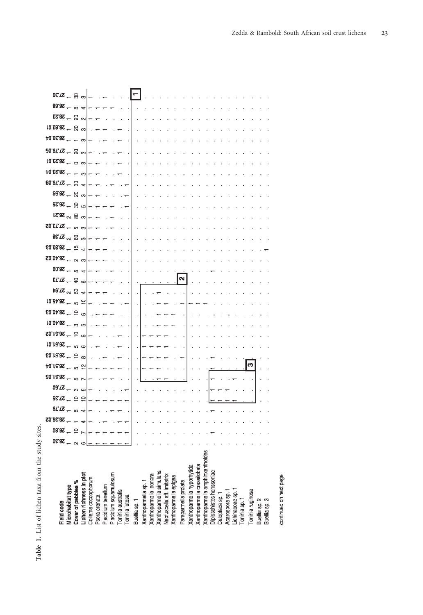| $ \infty \approx -52.38$                                                         |                     |                                     |                       |                                   |             |                    |                        |                         |                            |                       |                      |                            |                             |                                 |                                 |               |                |                 |               |                  |               |                  |
|----------------------------------------------------------------------------------|---------------------|-------------------------------------|-----------------------|-----------------------------------|-------------|--------------------|------------------------|-------------------------|----------------------------|-----------------------|----------------------|----------------------------|-----------------------------|---------------------------------|---------------------------------|---------------|----------------|-----------------|---------------|------------------|---------------|------------------|
| $89'9Z - \omega \rightarrow$                                                     |                     |                                     |                       |                                   |             |                    |                        |                         |                            |                       |                      |                            |                             |                                 |                                 |               |                |                 |               |                  |               |                  |
| នេះន – ន ~                                                                       |                     |                                     |                       |                                   |             |                    |                        |                         |                            |                       |                      |                            |                             |                                 |                                 |               |                |                 |               |                  |               |                  |
| $10.68.82 - 85.63$                                                               |                     |                                     |                       |                                   |             |                    |                        |                         |                            |                       |                      |                            |                             |                                 |                                 |               |                |                 |               |                  |               |                  |
| $\frac{1}{2}$ = 58°30'04                                                         |                     |                                     |                       |                                   |             |                    |                        |                         |                            |                       |                      |                            |                             |                                 |                                 |               |                |                 |               |                  |               |                  |
| $90.8752 - 87.9$                                                                 |                     |                                     |                       |                                   |             |                    |                        |                         |                            |                       |                      |                            |                             |                                 |                                 |               |                |                 |               |                  |               |                  |
| $10^{\circ}$ SS 33.01                                                            |                     |                                     |                       |                                   |             |                    |                        |                         |                            |                       |                      |                            |                             |                                 |                                 |               |                |                 |               |                  |               |                  |
| $\sim -28.23.04$                                                                 |                     |                                     |                       |                                   |             |                    |                        |                         |                            |                       |                      |                            |                             |                                 |                                 |               |                |                 |               |                  |               |                  |
| 80.87.12 = $8^{\circ}$                                                           |                     |                                     |                       |                                   |             |                    |                        |                         |                            |                       |                      |                            |                             |                                 |                                 |               |                |                 |               |                  |               |                  |
| $69'8Z - R_{\odot}$                                                              |                     |                                     |                       |                                   |             |                    |                        |                         |                            |                       |                      |                            |                             |                                 |                                 |               |                |                 |               |                  |               |                  |
| $m$ $\Theta = 50.32$                                                             |                     |                                     |                       |                                   |             |                    |                        |                         |                            |                       |                      |                            |                             |                                 |                                 |               |                |                 |               |                  |               |                  |
| $12.85$ $^{\circ}$ ಜ ಜ $^{\circ}$                                                |                     |                                     |                       |                                   |             |                    |                        |                         |                            |                       |                      |                            |                             |                                 |                                 |               |                |                 |               |                  |               |                  |
| $\frac{1}{2}$ CO'EL'ZZ $-\frac{1}{2}$                                            |                     |                                     |                       |                                   |             |                    |                        |                         |                            |                       |                      |                            |                             |                                 |                                 |               |                |                 |               |                  |               |                  |
| 80°22'ನ ದಿನ                                                                      |                     |                                     |                       |                                   |             |                    |                        |                         |                            |                       |                      |                            |                             |                                 |                                 |               |                |                 |               |                  |               |                  |
| $60.68.85 - 53.43$                                                               |                     |                                     |                       |                                   |             |                    |                        |                         |                            |                       |                      |                            |                             |                                 |                                 |               |                |                 |               |                  |               |                  |
| $50.00.82 - 58.40$                                                               |                     |                                     |                       |                                   |             |                    |                        |                         |                            |                       |                      |                            |                             |                                 |                                 |               |                |                 |               |                  |               |                  |
| $60'97 - \omega \rightarrow$                                                     |                     |                                     |                       |                                   |             |                    |                        |                         |                            |                       |                      |                            |                             |                                 |                                 |               |                |                 |               |                  |               |                  |
| $\omega \ncong -3123$                                                            |                     |                                     |                       |                                   |             |                    |                        |                         |                            |                       | N                    |                            |                             |                                 |                                 |               |                |                 |               |                  |               |                  |
| 帖亿 ~ 13 →                                                                        |                     |                                     |                       |                                   |             |                    |                        |                         |                            |                       |                      |                            |                             |                                 |                                 |               |                |                 |               |                  |               |                  |
| $=$ $\omega = 88.45.01$                                                          |                     |                                     |                       |                                   |             |                    |                        |                         |                            |                       |                      |                            |                             |                                 |                                 |               |                |                 |               |                  |               |                  |
| $\omega \approx -38'$ 40.03                                                      |                     |                                     |                       |                                   |             |                    |                        |                         |                            |                       |                      |                            |                             |                                 |                                 |               |                |                 |               |                  |               |                  |
| $10.00.8S - \omega$                                                              |                     |                                     |                       |                                   |             |                    |                        |                         |                            |                       |                      |                            |                             |                                 |                                 |               |                |                 |               |                  |               |                  |
| ದಿ' LS'9Z __ __ __ <sub>co</sub>                                                 |                     |                                     |                       |                                   |             |                    |                        |                         |                            |                       |                      |                            |                             |                                 |                                 |               |                |                 |               |                  |               |                  |
| o، صرح 16.51,01                                                                  |                     |                                     |                       |                                   |             |                    |                        |                         |                            |                       |                      |                            |                             |                                 |                                 |               |                |                 |               |                  |               |                  |
| $\cos 12.95 - \cos 103$                                                          |                     |                                     |                       |                                   |             |                    |                        |                         |                            |                       |                      |                            |                             |                                 |                                 |               |                |                 |               |                  |               |                  |
| 10.18.89 - <sup>10</sup> 등                                                       |                     |                                     |                       |                                   |             |                    |                        |                         |                            |                       |                      |                            |                             |                                 |                                 |               |                |                 |               | ణ                |               |                  |
| $-$ cm $-$ 26.51.05                                                              |                     |                                     |                       |                                   |             |                    |                        |                         |                            |                       |                      |                            |                             |                                 |                                 |               |                |                 |               |                  |               |                  |
| $09'2Z - 59'30$                                                                  |                     |                                     |                       |                                   |             |                    |                        |                         |                            |                       |                      |                            |                             |                                 |                                 |               |                |                 |               |                  |               |                  |
| $= 9 - 322$                                                                      |                     |                                     |                       |                                   |             |                    |                        |                         |                            |                       |                      |                            |                             |                                 |                                 |               |                |                 |               |                  |               |                  |
| $6L'LZ$ – $\omega \rightarrow$                                                   |                     |                                     |                       |                                   |             |                    |                        |                         |                            |                       |                      |                            |                             |                                 |                                 |               |                |                 |               |                  |               |                  |
| $- - 383303$                                                                     |                     |                                     |                       |                                   |             |                    |                        |                         |                            |                       |                      |                            |                             |                                 |                                 |               |                |                 |               |                  |               |                  |
| $08.85 - 5 -$                                                                    |                     |                                     |                       |                                   |             |                    |                        |                         |                            |                       |                      |                            |                             |                                 |                                 |               |                |                 |               |                  |               |                  |
| $0.587 - 0.005$                                                                  |                     |                                     |                       |                                   |             |                    |                        |                         |                            |                       |                      |                            |                             |                                 |                                 |               |                |                 |               |                  |               |                  |
|                                                                                  |                     |                                     |                       |                                   |             |                    |                        |                         |                            |                       |                      |                            |                             |                                 |                                 |               |                |                 |               |                  |               |                  |
| Lichen richness in plot<br>Cover of pebbles %<br>Microhabitat type<br>Field code | Collema coccophorum | Placidium tenellum<br>Psora crenata | Placidium squamulosum | oninia australis<br>oninia lutosa | Buellia sp. | Xanthoparmelia sp. | Xanthoparmelia leonora | (anthoparmelia simulans | leofuscella aff. imitatrix | Canthoparmelia epigea | Paraparmelia prolata | Kanthoparmelia hyporhytida | Xanthoparmelia crassilobata | kanthoparmelia amphinxanthoides | <b>Jiploschistes hensseniae</b> | Caloplaca sp. | Acarospora sp. | Lichinaceae sp. | roninia sp. " | Toninia ruginosa | Buellia sp. 2 | c<br>Buellia sp. |

continued on next page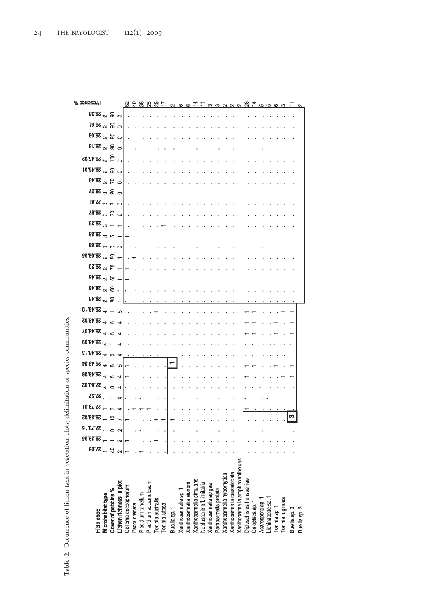|                                                                                                 | <b>K</b> esence a                                                                                                                                                                                                                     |                   |                    |                         |                     |               |                                            |                       |                   |                       |                |                      |                                                   |                            |                       |                      |                                                           |                                      |                          |               |                |                 |               |                   |               |               |
|-------------------------------------------------------------------------------------------------|---------------------------------------------------------------------------------------------------------------------------------------------------------------------------------------------------------------------------------------|-------------------|--------------------|-------------------------|---------------------|---------------|--------------------------------------------|-----------------------|-------------------|-----------------------|----------------|----------------------|---------------------------------------------------|----------------------------|-----------------------|----------------------|-----------------------------------------------------------|--------------------------------------|--------------------------|---------------|----------------|-----------------|---------------|-------------------|---------------|---------------|
|                                                                                                 | $8E.92 \times 8 \times 10^{-10}$                                                                                                                                                                                                      |                   |                    |                         |                     |               | $\mathbb{R}^n$ . The set of $\mathbb{R}^n$ |                       |                   | <b>Service</b> State  |                |                      |                                                   | and a strain and           |                       |                      |                                                           |                                      |                          |               |                |                 |               |                   |               |               |
|                                                                                                 | $19.92 \, \text{eV} \, \text{eV} \, \text{eV}$                                                                                                                                                                                        |                   |                    |                         |                     |               |                                            |                       |                   | and a straight        |                |                      |                                                   |                            |                       |                      |                                                           |                                      |                          |               |                |                 |               |                   |               |               |
|                                                                                                 | $\sim$ 8 $_{\odot}$ 8 $\sim$                                                                                                                                                                                                          |                   |                    |                         |                     |               |                                            |                       |                   | and a straight and    |                |                      |                                                   |                            |                       |                      |                                                           |                                      |                          |               |                |                 |               |                   |               |               |
|                                                                                                 | $10-50$ M $3013$                                                                                                                                                                                                                      |                   |                    |                         |                     |               |                                            |                       |                   | and the state of the  |                |                      |                                                   |                            |                       |                      |                                                           |                                      |                          |               |                |                 |               |                   |               |               |
|                                                                                                 | $20.34.82 \times 2 = 0$                                                                                                                                                                                                               |                   |                    |                         |                     |               |                                            |                       |                   |                       |                |                      |                                                   |                            |                       |                      |                                                           |                                      |                          |               |                |                 |               |                   |               |               |
|                                                                                                 | $10^{\circ}91^{\circ}82 \times S \circ  $                                                                                                                                                                                             |                   |                    |                         |                     |               |                                            |                       |                   |                       |                |                      |                                                   |                            |                       |                      |                                                           |                                      |                          |               |                |                 |               |                   |               |               |
|                                                                                                 | $6978 \times 10^{-10}$                                                                                                                                                                                                                |                   |                    |                         |                     |               | and an                                     |                       |                   |                       |                |                      |                                                   |                            |                       |                      |                                                           |                                      |                          |               |                |                 |               |                   |               |               |
|                                                                                                 | $ _{\text{C}}$ $\beta$ $_{\text{C}}$ $\beta$ $\beta$ $\beta$                                                                                                                                                                          |                   |                    |                         |                     |               | <b>Contract</b>                            |                       |                   |                       |                |                      |                                                   |                            |                       |                      |                                                           |                                      |                          |               |                |                 |               |                   |               |               |
|                                                                                                 | $18.52 \times 10^{-10}$                                                                                                                                                                                                               |                   |                    |                         |                     |               |                                            |                       |                   |                       |                |                      |                                                   |                            |                       |                      |                                                           |                                      |                          |               |                |                 |               |                   |               |               |
|                                                                                                 | $18.85 \approx 28.87$                                                                                                                                                                                                                 |                   |                    |                         |                     |               |                                            | and a state of        |                   |                       |                |                      |                                                   |                            |                       |                      |                                                           |                                      |                          |               |                |                 |               |                   |               |               |
|                                                                                                 | $-1$ 68°38                                                                                                                                                                                                                            |                   |                    |                         |                     |               |                                            |                       |                   |                       |                |                      |                                                   |                            |                       |                      |                                                           |                                      |                          |               |                |                 |               |                   |               |               |
|                                                                                                 |                                                                                                                                                                                                                                       |                   |                    |                         |                     |               |                                            |                       |                   |                       |                |                      |                                                   |                            |                       |                      |                                                           |                                      |                          |               |                |                 |               |                   |               |               |
|                                                                                                 | 8937000.                                                                                                                                                                                                                              |                   |                    |                         |                     |               |                                            |                       |                   |                       |                |                      |                                                   |                            |                       |                      |                                                           |                                      |                          |               |                |                 |               |                   |               |               |
|                                                                                                 | $90^{\circ}00^{\circ}97 \approx 30^{\circ} - 1.$                                                                                                                                                                                      |                   |                    |                         |                     |               |                                            |                       |                   |                       |                |                      |                                                   |                            |                       |                      |                                                           |                                      |                          |               |                |                 |               |                   |               |               |
|                                                                                                 |                                                                                                                                                                                                                                       |                   |                    |                         |                     |               |                                            |                       |                   |                       |                |                      |                                                   |                            |                       |                      |                                                           |                                      |                          |               |                |                 |               |                   |               |               |
|                                                                                                 | $5b^{\prime}92 \approx 8 - -$                                                                                                                                                                                                         |                   |                    |                         |                     |               |                                            |                       |                   |                       |                |                      |                                                   |                            |                       |                      |                                                           |                                      |                          |               |                |                 |               |                   |               |               |
|                                                                                                 | $9b.82 \times 32 - 1 - 1$                                                                                                                                                                                                             |                   |                    |                         |                     |               |                                            |                       |                   |                       |                |                      | Ù.                                                |                            |                       |                      |                                                           |                                      |                          |               |                |                 |               |                   |               |               |
|                                                                                                 |                                                                                                                                                                                                                                       |                   |                    |                         |                     |               |                                            |                       |                   |                       |                |                      |                                                   |                            |                       |                      |                                                           |                                      |                          |               |                |                 |               |                   |               |               |
|                                                                                                 | $01.84.35 + 100$ $-$                                                                                                                                                                                                                  |                   |                    |                         |                     |               |                                            |                       |                   |                       |                |                      |                                                   |                            |                       |                      |                                                           |                                      |                          |               |                |                 |               |                   |               |               |
|                                                                                                 | $20.80.92 + 10.4$                                                                                                                                                                                                                     |                   |                    |                         |                     |               |                                            |                       |                   |                       |                |                      |                                                   |                            |                       |                      |                                                           |                                      |                          |               |                |                 |               |                   |               |               |
|                                                                                                 | $20^{\circ}80^{\circ}92$ and the set of the set of the set of the set of the set of the set of the set of the set of the set of the set of the set of the set of the set of the set of the set of the set of the set of the set of th |                   |                    |                         |                     |               |                                            |                       |                   |                       |                |                      |                                                   |                            |                       |                      |                                                           |                                      |                          |               |                |                 |               |                   |               |               |
|                                                                                                 | $60.81.92 + -$                                                                                                                                                                                                                        |                   |                    |                         |                     |               |                                            |                       |                   |                       |                |                      |                                                   |                            |                       |                      |                                                           |                                      |                          |               |                |                 |               |                   |               |               |
|                                                                                                 | $21.80.32 + 0.4 - 0.7$                                                                                                                                                                                                                |                   |                    |                         |                     |               |                                            |                       |                   |                       | ᆔ              |                      |                                                   |                            |                       |                      |                                                           |                                      |                          |               |                |                 |               |                   |               |               |
|                                                                                                 | ∝ ، –   مب مبا⊋91°011                                                                                                                                                                                                                 |                   |                    |                         |                     |               |                                            |                       |                   |                       |                |                      |                                                   |                            |                       |                      |                                                           |                                      |                          |               |                |                 |               |                   |               |               |
|                                                                                                 | $80.84.32 \leftarrow 10.4 \leftarrow$                                                                                                                                                                                                 |                   |                    |                         |                     |               |                                            |                       |                   |                       | $\mathbb{R}^2$ |                      |                                                   |                            |                       |                      |                                                           |                                      |                          |               |                |                 |               |                   |               |               |
|                                                                                                 | $LS'Z = -1$                                                                                                                                                                                                                           |                   |                    |                         |                     |               |                                            |                       |                   |                       |                |                      |                                                   |                            |                       |                      |                                                           |                                      |                          |               |                |                 |               |                   |               |               |
|                                                                                                 | $10^6$ $K$ $Z - \alpha$ $\frac{1}{4}$ $\frac{1}{2}$ $\frac{1}{2}$ $\frac{1}{2}$                                                                                                                                                       |                   |                    |                         |                     |               |                                            |                       |                   |                       |                |                      |                                                   |                            |                       |                      |                                                           |                                      |                          |               |                |                 |               |                   |               |               |
|                                                                                                 | $20.08.82 - 5 - 1 - 1 - 28.83$                                                                                                                                                                                                        |                   |                    |                         |                     |               |                                            |                       |                   |                       |                |                      |                                                   |                            |                       |                      |                                                           |                                      |                          |               |                |                 |               |                   | w             |               |
|                                                                                                 | $91.62.27 - 0.01$                                                                                                                                                                                                                     |                   |                    |                         |                     |               |                                            |                       |                   |                       |                |                      |                                                   |                            |                       |                      |                                                           |                                      |                          |               |                |                 |               |                   |               |               |
|                                                                                                 |                                                                                                                                                                                                                                       |                   |                    |                         |                     |               |                                            |                       |                   |                       |                |                      |                                                   |                            |                       |                      |                                                           |                                      |                          |               |                |                 |               |                   |               |               |
|                                                                                                 | $20Z - 9$ $\sim$                                                                                                                                                                                                                      |                   |                    |                         |                     |               | $\sim$ $-$                                 |                       |                   |                       |                |                      |                                                   |                            |                       |                      |                                                           |                                      |                          |               |                |                 |               |                   |               |               |
|                                                                                                 |                                                                                                                                                                                                                                       |                   |                    |                         |                     |               |                                            |                       |                   |                       |                |                      |                                                   |                            |                       |                      |                                                           |                                      |                          |               |                |                 |               |                   |               |               |
| in vegetation plots; delimitation of species communities.<br>Table 2. Occurrence of lichen taxa | Field code                                                                                                                                                                                                                            | Microhabitat type | Cover of pebbles % | Lichen richness in plot | Collema coccophorum | Psora crenata | Placidium tenellum                         | Placidium squamulosum | Toninia australis | <b>Toninia</b> lutosa | Buellia sp. 1  | Xanthoparmelia sp. 1 | Xanthoparmelia leonora<br>Xanthoparmelia simulans | Neofuscelia aff. imitatrix | Xanthoparmelia epigea | Paraparmelia prolata | Xanthoparmelia hyporhytida<br>Xanthoparmelia crassilobata | anthoides<br>Xanthoparmelia amphinxa | Diploschistes hensseniae | Caloplaca sp. | Acarospora sp. | Lichinaceae sp. | Toninia sp. 1 | l'oninia ruginosa | Buellia sp. 2 | Buellia sp. 3 |
|                                                                                                 |                                                                                                                                                                                                                                       |                   |                    |                         |                     |               |                                            |                       |                   |                       |                |                      |                                                   |                            |                       |                      |                                                           |                                      |                          |               |                |                 |               |                   |               |               |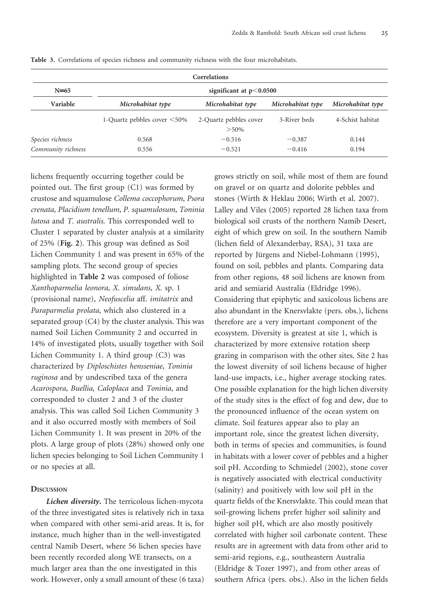| Correlations       |                                    |                                    |                   |                   |  |  |  |  |  |  |  |
|--------------------|------------------------------------|------------------------------------|-------------------|-------------------|--|--|--|--|--|--|--|
| $N=65$             |                                    |                                    |                   |                   |  |  |  |  |  |  |  |
| Variable           | Microhabitat type                  | Microhabitat type                  | Microhabitat type | Microhabitat type |  |  |  |  |  |  |  |
|                    | 1-Quartz pebbles cover $\leq 50\%$ | 2-Quartz pebbles cover<br>$> 50\%$ | 3-River beds      | 4-Schist habitat  |  |  |  |  |  |  |  |
| Species richness   | 0.568                              | $-0.516$                           | $-0.387$          | 0.144             |  |  |  |  |  |  |  |
| Community richness | 0.556                              | $-0.521$                           | $-0.416$          | 0.194             |  |  |  |  |  |  |  |

Table 3. Correlations of species richness and community richness with the four microhabitats.

lichens frequently occurring together could be pointed out. The first group (C1) was formed by crustose and squamulose Collema coccophorum, Psora crenata, Placidium tenellum, P. squamulosum, Toninia lutosa and T. australis. This corresponded well to Cluster 1 separated by cluster analysis at a similarity of 25% (Fig. 2). This group was defined as Soil Lichen Community 1 and was present in 65% of the sampling plots. The second group of species highlighted in Table 2 was composed of foliose Xanthoparmelia leonora, X. simulans, X. sp. 1 (provisional name), Neofuscelia aff. imitatrix and Paraparmelia prolata, which also clustered in a separated group (C4) by the cluster analysis. This was named Soil Lichen Community 2 and occurred in 14% of investigated plots, usually together with Soil Lichen Community 1. A third group (C3) was characterized by Diploschistes hensseniae, Toninia ruginosa and by undescribed taxa of the genera Acarospora, Buellia, Caloplaca and Toninia, and corresponded to cluster 2 and 3 of the cluster analysis. This was called Soil Lichen Community 3 and it also occurred mostly with members of Soil Lichen Community 1. It was present in 20% of the plots. A large group of plots (28%) showed only one lichen species belonging to Soil Lichen Community 1 or no species at all.

#### **DISCUSSION**

Lichen diversity. The terricolous lichen-mycota of the three investigated sites is relatively rich in taxa when compared with other semi-arid areas. It is, for instance, much higher than in the well-investigated central Namib Desert, where 56 lichen species have been recently recorded along WE transects, on a much larger area than the one investigated in this work. However, only a small amount of these (6 taxa) grows strictly on soil, while most of them are found on gravel or on quartz and dolorite pebbles and stones (Wirth & Heklau 2006; Wirth et al. 2007). Lalley and Viles (2005) reported 28 lichen taxa from biological soil crusts of the northern Namib Desert, eight of which grew on soil. In the southern Namib (lichen field of Alexanderbay, RSA), 31 taxa are reported by Jürgens and Niebel-Lohmann (1995), found on soil, pebbles and plants. Comparing data from other regions, 48 soil lichens are known from arid and semiarid Australia (Eldridge 1996). Considering that epiphytic and saxicolous lichens are also abundant in the Knersvlakte (pers. obs.), lichens therefore are a very important component of the ecosystem. Diversity is greatest at site 1, which is characterized by more extensive rotation sheep grazing in comparison with the other sites. Site 2 has the lowest diversity of soil lichens because of higher land-use impacts, i.e., higher average stocking rates. One possible explanation for the high lichen diversity of the study sites is the effect of fog and dew, due to the pronounced influence of the ocean system on climate. Soil features appear also to play an important role, since the greatest lichen diversity, both in terms of species and communities, is found in habitats with a lower cover of pebbles and a higher soil pH. According to Schmiedel (2002), stone cover is negatively associated with electrical conductivity (salinity) and positively with low soil pH in the quartz fields of the Knersvlakte. This could mean that soil-growing lichens prefer higher soil salinity and higher soil pH, which are also mostly positively correlated with higher soil carbonate content. These results are in agreement with data from other arid to semi-arid regions, e.g., southeastern Australia (Eldridge & Tozer 1997), and from other areas of southern Africa (pers. obs.). Also in the lichen fields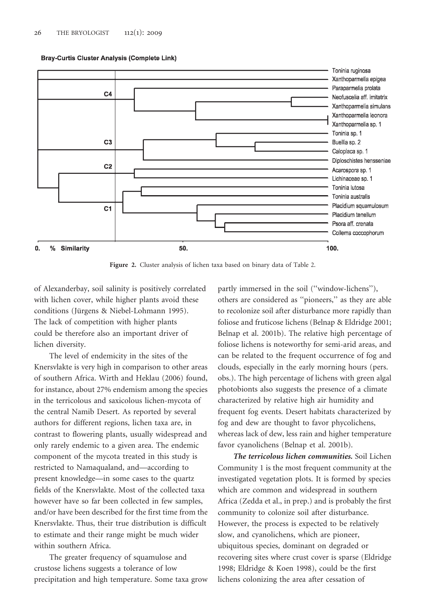**Bray-Curtis Cluster Analysis (Complete Link)** 



Figure 2. Cluster analysis of lichen taxa based on binary data of Table 2.

of Alexanderbay, soil salinity is positively correlated with lichen cover, while higher plants avoid these conditions (Jürgens & Niebel-Lohmann 1995). The lack of competition with higher plants could be therefore also an important driver of lichen diversity.

The level of endemicity in the sites of the Knersvlakte is very high in comparison to other areas of southern Africa. Wirth and Heklau (2006) found, for instance, about 27% endemism among the species in the terricolous and saxicolous lichen-mycota of the central Namib Desert. As reported by several authors for different regions, lichen taxa are, in contrast to flowering plants, usually widespread and only rarely endemic to a given area. The endemic component of the mycota treated in this study is restricted to Namaqualand, and—according to present knowledge—in some cases to the quartz fields of the Knersvlakte. Most of the collected taxa however have so far been collected in few samples, and/or have been described for the first time from the Knersvlakte. Thus, their true distribution is difficult to estimate and their range might be much wider within southern Africa.

The greater frequency of squamulose and crustose lichens suggests a tolerance of low precipitation and high temperature. Some taxa grow

partly immersed in the soil (''window-lichens''), others are considered as ''pioneers,'' as they are able to recolonize soil after disturbance more rapidly than foliose and fruticose lichens (Belnap & Eldridge 2001; Belnap et al. 2001b). The relative high percentage of foliose lichens is noteworthy for semi-arid areas, and can be related to the frequent occurrence of fog and clouds, especially in the early morning hours (pers. obs.). The high percentage of lichens with green algal photobionts also suggests the presence of a climate characterized by relative high air humidity and frequent fog events. Desert habitats characterized by fog and dew are thought to favor phycolichens, whereas lack of dew, less rain and higher temperature favor cyanolichens (Belnap et al. 2001b).

The terricolous lichen communities. Soil Lichen Community 1 is the most frequent community at the investigated vegetation plots. It is formed by species which are common and widespread in southern Africa (Zedda et al., in prep.) and is probably the first community to colonize soil after disturbance. However, the process is expected to be relatively slow, and cyanolichens, which are pioneer, ubiquitous species, dominant on degraded or recovering sites where crust cover is sparse (Eldridge 1998; Eldridge & Koen 1998), could be the first lichens colonizing the area after cessation of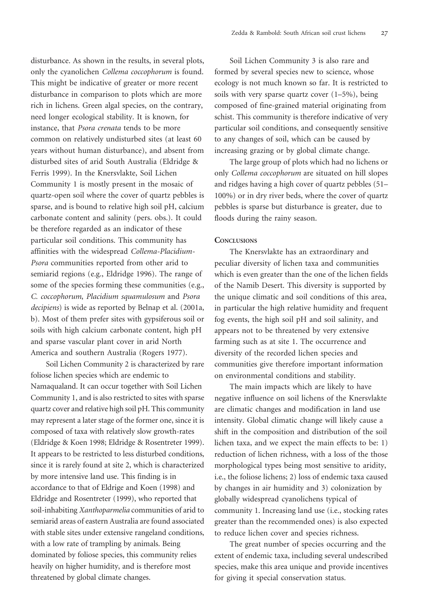disturbance. As shown in the results, in several plots, only the cyanolichen Collema coccophorum is found. This might be indicative of greater or more recent disturbance in comparison to plots which are more rich in lichens. Green algal species, on the contrary, need longer ecological stability. It is known, for instance, that Psora crenata tends to be more common on relatively undisturbed sites (at least 60 years without human disturbance), and absent from disturbed sites of arid South Australia (Eldridge & Ferris 1999). In the Knersvlakte, Soil Lichen Community 1 is mostly present in the mosaic of quartz-open soil where the cover of quartz pebbles is sparse, and is bound to relative high soil pH, calcium carbonate content and salinity (pers. obs.). It could be therefore regarded as an indicator of these particular soil conditions. This community has affinities with the widespread Collema-Placidium-Psora communities reported from other arid to semiarid regions (e.g., Eldridge 1996). The range of some of the species forming these communities (e.g., C. coccophorum, Placidium squamulosum and Psora decipiens) is wide as reported by Belnap et al. (2001a, b). Most of them prefer sites with gypsiferous soil or soils with high calcium carbonate content, high pH and sparse vascular plant cover in arid North America and southern Australia (Rogers 1977).

Soil Lichen Community 2 is characterized by rare foliose lichen species which are endemic to Namaqualand. It can occur together with Soil Lichen Community 1, and is also restricted to sites with sparse quartz cover and relative high soil pH. This community may represent a later stage of the former one, since it is composed of taxa with relatively slow growth-rates (Eldridge & Koen 1998; Eldridge & Rosentreter 1999). It appears to be restricted to less disturbed conditions, since it is rarely found at site 2, which is characterized by more intensive land use. This finding is in accordance to that of Eldrige and Koen (1998) and Eldridge and Rosentreter (1999), who reported that soil-inhabiting Xanthoparmelia communities of arid to semiarid areas of eastern Australia are found associated with stable sites under extensive rangeland conditions, with a low rate of trampling by animals. Being dominated by foliose species, this community relies heavily on higher humidity, and is therefore most threatened by global climate changes.

Soil Lichen Community 3 is also rare and formed by several species new to science, whose ecology is not much known so far. It is restricted to soils with very sparse quartz cover (1–5%), being composed of fine-grained material originating from schist. This community is therefore indicative of very particular soil conditions, and consequently sensitive to any changes of soil, which can be caused by increasing grazing or by global climate change.

The large group of plots which had no lichens or only Collema coccophorum are situated on hill slopes and ridges having a high cover of quartz pebbles (51– 100%) or in dry river beds, where the cover of quartz pebbles is sparse but disturbance is greater, due to floods during the rainy season.

#### **CONCLUSIONS**

The Knersvlakte has an extraordinary and peculiar diversity of lichen taxa and communities which is even greater than the one of the lichen fields of the Namib Desert. This diversity is supported by the unique climatic and soil conditions of this area, in particular the high relative humidity and frequent fog events, the high soil pH and soil salinity, and appears not to be threatened by very extensive farming such as at site 1. The occurrence and diversity of the recorded lichen species and communities give therefore important information on environmental conditions and stability.

The main impacts which are likely to have negative influence on soil lichens of the Knersvlakte are climatic changes and modification in land use intensity. Global climatic change will likely cause a shift in the composition and distribution of the soil lichen taxa, and we expect the main effects to be: 1) reduction of lichen richness, with a loss of the those morphological types being most sensitive to aridity, i.e., the foliose lichens; 2) loss of endemic taxa caused by changes in air humidity and 3) colonization by globally widespread cyanolichens typical of community 1. Increasing land use (i.e., stocking rates greater than the recommended ones) is also expected to reduce lichen cover and species richness.

The great number of species occurring and the extent of endemic taxa, including several undescribed species, make this area unique and provide incentives for giving it special conservation status.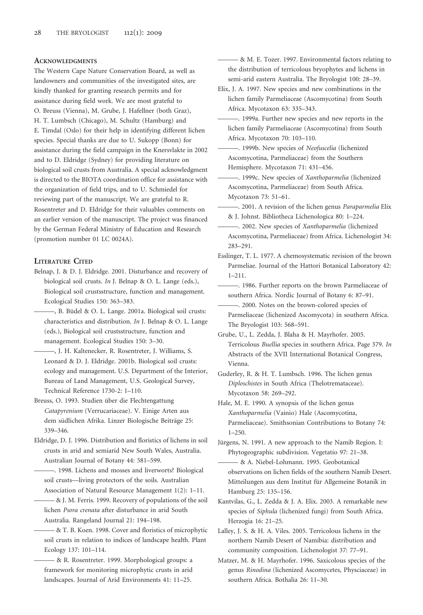#### **ACKNOWLEDGMENTS**

The Western Cape Nature Conservation Board, as well as landowners and communities of the investigated sites, are kindly thanked for granting research permits and for assistance during field work. We are most grateful to O. Breuss (Vienna), M. Grube, J. Hafellner (both Graz), H. T. Lumbsch (Chicago), M. Schultz (Hamburg) and E. Timdal (Oslo) for their help in identifying different lichen species. Special thanks are due to U. Sukopp (Bonn) for assistance during the field campaign in the Knersvlakte in 2002 and to D. Eldridge (Sydney) for providing literature on biological soil crusts from Australia. A special acknowledgment is directed to the BIOTA coordination office for assistance with the organization of field trips, and to U. Schmiedel for reviewing part of the manuscript. We are grateful to R. Rosentreter and D. Eldridge for their valuables comments on an earlier version of the manuscript. The project was financed by the German Federal Ministry of Education and Research (promotion number 01 LC 0024A).

#### LITERATURE CITED

- Belnap, J. & D. J. Eldridge. 2001. Disturbance and recovery of biological soil crusts. In J. Belnap & O. L. Lange (eds.), Biological soil crustsstructure, function and management. Ecological Studies 150: 363–383.
- ———, B. Bu¨del & O. L. Lange. 2001a. Biological soil crusts: characteristics and distribution. In J. Belnap & O. L. Lange (eds.), Biological soil crustsstructure, function and management. Ecological Studies 150: 3–30.
- ———, J. H. Kaltenecker, R. Rosentreter, J. Williams, S. Leonard & D. J. Eldridge. 2001b. Biological soil crusts: ecology and management. U.S. Department of the Interior, Bureau of Land Management, U.S. Geological Survey, Technical Reference 1730-2: 1–110.
- Breuss, O. 1993. Studien über die Flechtengattung Catapyrenium (Verrucariaceae). V. Einige Arten aus dem südlichen Afrika. Linzer Biologische Beiträge 25: 339–346.
- Eldridge, D. J. 1996. Distribution and floristics of lichens in soil crusts in arid and semiarid New South Wales, Australia. Australian Journal of Botany 44: 581–599.

———. 1998. Lichens and mosses and liverworts? Biological soil crusts—living protectors of the soils. Australian Association of Natural Resource Management 1(2): 1–11.

- & J. M. Ferris. 1999. Recovery of populations of the soil lichen Psora crenata after disturbance in arid South Australia. Rangeland Journal 21: 194–198.
- $-$  & T. B. Koen. 1998. Cover and floristics of microphytic soil crusts in relation to indices of landscape health. Plant Ecology 137: 101–114.
- ——— & R. Rosentreter. 1999. Morphological groups: a framework for monitoring microphytic crusts in arid landscapes. Journal of Arid Environments 41: 11–25.

——— & M. E. Tozer. 1997. Environmental factors relating to the distribution of terricolous bryophytes and lichens in semi-arid eastern Australia. The Bryologist 100: 28–39.

Elix, J. A. 1997. New species and new combinations in the lichen family Parmeliaceae (Ascomycotina) from South Africa. Mycotaxon 63: 335–343.

———. 1999a. Further new species and new reports in the lichen family Parmeliaceae (Ascomycotina) from South Africa. Mycotaxon 70: 103–110.

-. 1999b. New species of Neofuscelia (lichenized Ascomycotina, Parmeliaceae) from the Southern Hemisphere. Mycotaxon 71: 431–456.

- -. 1999c. New species of Xanthoparmelia (lichenized Ascomycotina, Parmeliaceae) from South Africa. Mycotaxon 73: 51–61.
- -. 2001. A revision of the lichen genus Paraparmelia Elix & J. Johnst. Bibliotheca Lichenologica 80: 1–224.
- -. 2002. New species of Xanthoparmelia (lichenized Ascomycotina, Parmeliaceae) from Africa. Lichenologist 34: 283–291.

Esslinger, T. L. 1977. A chemosystematic revision of the brown Parmeliae. Journal of the Hattori Botanical Laboratory 42: 1–211.

———. 1986. Further reports on the brown Parmeliaceae of southern Africa. Nordic Journal of Botany 6: 87–91.

———. 2000. Notes on the brown-colored species of Parmeliaceae (lichenized Ascomycota) in southern Africa. The Bryologist 103: 568–591.

Grube, U., L. Zedda, J. Blaha & H. Mayrhofer. 2005. Terricolous Buellia species in southern Africa. Page 379. In Abstracts of the XVII International Botanical Congress, Vienna.

Guderley, R. & H. T. Lumbsch. 1996. The lichen genus Diploschistes in South Africa (Thelotremataceae). Mycotaxon 58: 269–292.

Hale, M. E. 1990. A synopsis of the lichen genus Xanthoparmelia (Vainio) Hale (Ascomycotina, Parmeliaceae). Smithsonian Contributions to Botany 74:  $1-250$ .

Jürgens, N. 1991. A new approach to the Namib Region. I: Phytogeographic subdivision. Vegetatio 97: 21–38.

——— & A. Niebel-Lohmann. 1995. Geobotanical observations on lichen fields of the southern Namib Desert. Mitteilungen aus dem Institut für Allgemeine Botanik in Hamburg 25: 135–156.

Kantvilas, G., L. Zedda & J. A. Elix. 2003. A remarkable new species of Siphula (lichenized fungi) from South Africa. Herzogia 16: 21–25.

Lalley, J. S. & H. A. Viles. 2005. Terricolous lichens in the northern Namib Desert of Namibia: distribution and community composition. Lichenologist 37: 77–91.

Matzer, M. & H. Mayrhofer. 1996. Saxicolous species of the genus Rinodina (lichenized Ascomycetes, Physciaceae) in southern Africa. Bothalia 26: 11–30.